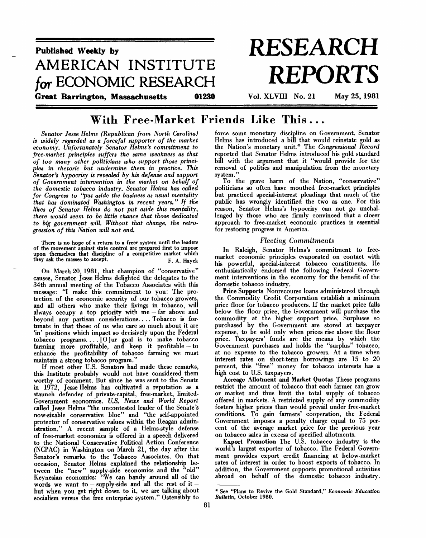

# **With Free-Market Friends Like This .. .**

*Senator Jesse Helms (Republican from North Carolina) is widely regarded as a forceful supporter of the market economy. Unfortunately Senator Helms's commitment to free-market principles suffers the same weakness as that of too many other politicians who support those principles in rhetoric but undermine them in practice. This Senator's hypocrisy is revealed by his defense and support of Government intervention in the market on behalf of the domestic tobacco industry. Senator Helms has called for Congress to "put aside the business as usual mentality that has dominated Washington in recent years." If the likes of Senator Helms do not put aside this mentality, there would seem to be little chance that those dedicated to big government will. Without that change, the retrogression of this Nation will not end.*

There is no hope of a return to a freer system until the leaders of the movement against state control are prepared first to impose upon themselves that discipline of a competitive market which they ask the masses to accept.  $\mathbb{F}$  A Hayek

On March 20, 1981, that champion of "conservative" causes, Senator Jesse Helms delighted the delegates to the 34th annual meeting of the Tobacco Associates with this message: "I make this commitment to you: The protection of the economic security of our tobacco growers, and all others who make their livings in tobacco, will always occupy a top priority with  $me - far$  above and beyond any partisan considerations. . . Tobacco is fortunate in that those of us who care so much about it are 'in' positions which impact so decisively upon the Federal tobacco programs. . .. [0]ur goal is to make tobacco farming more profitable, and keep it profitable — to enhance the profitability of tobacco farming we must maintain a strong tobacco program.'

If most other U.S. Senators had made these remarks, this Institute probably would not have considered them worthy of comment. But since he was sent to the Senate in 1972, Jesse Helms has cultivated a reputation as a staunch defender of private-capital, free-market, limited-Government economics. *U.S. News and World Report* called Jesse Helms "the uncontested leader of the Senate's now-sizable conservative bloc" and "the self-appointed protector of conservative values within the Reagan administration." A recent sample of a Helms-style defense of free-market economics is offered in a speech delivered to the National Conservative Political Action Conference (NCPAC) in Washington on March 21, the day after the Senator's remarks to the Tobacco Associates. On that occasion, Senator Helms explained the relationship between the "new" supply-side economics and the "old" Keynesian economics: "We can bandy around all of the words we want to  $-$  supply-side and all the rest of it  $$ but when you get right down to it, we are talking about socialism versus the free enterprise system." Ostensibly to

force some monetary discipline on Government, Senator Helms has introduced a bill that would reinstate gold as the Nation's monetary unit.\* The *Congressional Record* reported that Senator Helms introduced his gold standard bill with the argument that it "would provide for the removal of politics and manipulation from the monetary system."

To the grave harm of the Nation, "conservative" politicians so often have mouthed free-market principles but practiced special-interest pleadings that much of the public has wrongly identified the two as one. For this reason, Senator Helms's hypocrisy can not go unchallenged by those who are firmly convinced that a closer approach to free-market economic practices is essential for restoring progress in America.

#### *Fleeting Commitments*

In Raleigh, Senator Helms's commitment to freemarket economic principles evaporated on contact with his powerful, special-interest tobacco constituents. He enthusiastically endorsed the following Federal Government interventions in the economy for the benefit of the domestic tobacco industry.

Price Supports Nonrecourse loans administered through the Commodity Credit Corporation establish a minimum price floor for tobacco producers. If the market price falls below the floor price, the Government will purchase the commodity at the higher support price. Surpluses so purchased by the Government are stored at taxpayer expense, to be sold only when prices rise above the floor price. Taxpayers' funds are the means by which the Government purchases and holds the "surplus" tobacco, at no expense to the tobacco growers. At a time when interest rates on short-term borrowings are 15 to 20 percent, this "free" money for tobacco interests has a high cost to U.S. taxpayers.

Acreage Allotment and Market Quotas These programs restrict the amount of tobacco that each farmer can grow or market and thus limit the total supply of tobacco offered in markets. A restricted supply of any commodity fosters higher prices than would prevail under free-market conditions. To gain farmers' cooperation, the Federal Government imposes a penalty charge equal to 75 percent of the average market price for the previous year on tobacco sales in excess of specified allotments.

Export Promotion The U.S. tobacco industry is the world's largest exporter of tobacco. The Federal Government provides export credit financing at below-market rates of interest in order to boost exports of tobacco. In addition, the Government supports promotional activities abroad on behalf of the domestic tobacco industry.

<sup>\*</sup> See "Plans to Revive the Gold Standard," *Economic Education Bulletin,* October 1980.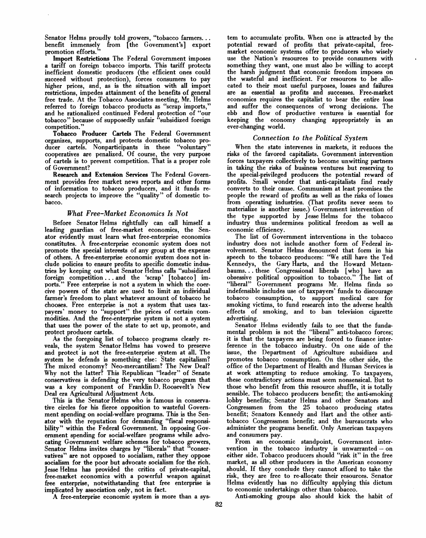Senator Helms proudly told growers, "tobacco farmers...<br>benefit immensely from [the Government's] export from [the Government's] export promotion efforts."

Import Restrictions The Federal Government imposes a tariff on foreign tobacco imports. This tariff protects inefficient domestic producers (the efficient ones could succeed without protection), forces consumers to pay higher prices, and, as is the situation with all import restrictions, impedes attainment of the benefits of general free trade. At the Tobacco Associates meeting, Mr. Helms referred to foreign tobacco products as "scrap imports," and he rationalized continued Federal protection of "our tobacco" because of supposedly unfair "subsidized foreign competition."

Tobacco Producer Cartels The Federal Government organizes, supports, and protects domestic tobacco producer cartels. Nonparticipants in these "voluntary" cooperatives are penalized. Of course, the very purpose of cartels is to prevent competition. That is a proper role of Government?

Research and Extension Services The Federal Government provides free market news reports and other forms of information to tobacco producers, and it funds research projects to improve the "quality" of domestic tobacco.

## *What Free-Market Economics Is Not*

Before Senator Helms rightfully can call himself a leading guardian of free-market economics, the Senator evidently must learn what free-enterprise economics constitutes. A free-enterprise economic system does not promote the special interests of any group at the expense of others. A free-enterprise economic system does not include policies to ensure profits to specific domestic industries by keeping out what Senator Helms calls "subsidized foreign competition .. . and the 'scrap' [tobacco] imports." Free enterprise is not a system in which the coercive powers of the state are used to limit an individual farmer's freedom to plant whatever amount of tobacco he chooses. Free enterprise is not a system that uses taxpayers' money to "support" the prices of certain commodities. And the free-enterprise system is not a system that uses the power of the state to set up, promote, and protect producer cartels.

As the foregoing list of tobacco programs clearly reveals, the system Senator Helms has vowed to preserve and protect is not the free-enterprise system at all. The system he defends is something else: State capitalism? The mixed economy? Neo-mercantilism? The New Deal? Why not the latter? This Republican "leader" of Senate conservatives is defending the very tobacco program that was a key component of Franklin D. Roosevelt's New Deal era Agricultural Adjustment Acts.

This is the Senator Helms who is famous in conservative circles for his fierce opposition to wasteful Government spending on social-welfare programs. This is the Senator with the reputation for demanding "fiscal responsibility" within the Federal Government. In opposing Government spending for social-welfare programs while advocating Government welfare schemes for tobacco growers, Senator Helms invites charges by "liberals" that "conservatives" are not opposed to socialism, rather they oppose socialism for the poor but advocate socialism for the rich. Jesse Helms has provided the critics of private-capital, free-market economics with a powerful weapon against free enterprise, notwithstanding that free enterprise is implicated by association only, not in fact.

A free-enterprise economic system is more than a sys-

tem to accumulate profits. When one is attracted by the potential reward of profits that private-capital, freemarket economic systems offer to producers who wisely use the Nation's resources to provide consumers with something they want, one must also be willing to accept the harsh judgment that economic freedom imposes on the wasteful and inefficient. For resources to be allocated to their most useful purposes, losses and failures are as essential as profits and successes. Free-market economics requires the capitalist to bear the entire loss and suffer the consequences of wrong decisions. The ebb and flow of productive ventures is essential for keeping the economy changing appropriately in an ever-changing world.

## *Connection to the Political System*

When the state intervenes in markets, it reduces the risks of the favored capitalists. Government intervention forces taxpayers collectively to become unwitting partners in taking the risks of business ventures but reserving to the special-privileged producers the potential reward of profits. Small wonder that anti-capitalists find ready converts to their cause. Communism at least promises the people the reward of profits as well as the risks of losses from operating industries. (That profits never seem to materialize is another issue.) Government intervention of the type supported by Jesse Helms for the tobacco industry thus undermines political freedom as well as economic efficiency.

The list of Government interventions in the tobacco industry does not include another form of Federal involvement. Senator Helms denounced that form in his speech to the tobacco producers: "We still have the Ted Kennedys, the Gary Harts, and the Howard Metzenbaums. . . these Congressional liberals [who] have an obsessive political opposition to tobacco." The list of "liberal" Government programs Mr. Helms finds so indefensible includes use of taxpayers' funds to discourage tobacco consumption, to support medical care for smoking victims, to fund research into the adverse health effects of smoking, and to ban television cigarette advertising.

Senator Helms evidently fails to see that the fundamental problem is not the "liberal" anti-tobacco forces; it is that the taxpayers are being forced to finance interference in the tobacco industry. On one side of the issue, the Department of Agriculture subsidizes and promotes tobacco consumption. On the other side, the office of the Department of Health and Human Services is at work attempting to reduce smoking. To taxpayers, these contradictory actions must seem nonsensical. But to those who benefit from this resource shuffle, it is totally sensible. The tobacco producers benefit; the anti-smoking lobby benefits; Senator Helms and other Senators and Congressmen from the 25 tobacco producing states benefit; Senators Kennedy and Hart and the other antitobacco Congressmen benefit; and the bureaucrats who administer the programs benefit. Only American taxpayers and consumers pay.

From an economic standpoint, Government intervention in the tobacco industry is unwarranted — on either side. Tobacco producers should "risk it" in the free market, as all other producers in the American economy should. If they conclude they cannot afford to take the risk, they are free to re-allocate their resources. Senator Helms evidently has no difficulty applying this dictum to economic undertakings other than tobacco.

Anti-smoking groups also should kick the habit of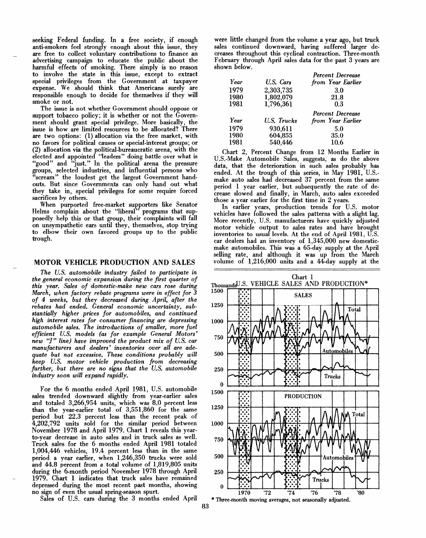seeking Federal funding. In a free society, if enough anti-smokers feel strongly enough about this issue, they are free to collect voluntary contributions to finance an advertising campaign to educate the public about the harmful effects of smoking. There simply is no reason to involve the state in this issue, except to extract special privileges from the Government at taxpayer expense. We should think that Americans surely are responsible enough to decide for themselves if they will smoke or not.

The issue is not whether Government should oppose or support tobacco policy; it is whether or not the Government should grant special privilege. More basically, the issue is how are limited resources to be allocated? There are two options: (1) allocation via the free market, with no favors for political causes or special-interest groups; or (2) allocation via the political-bureaucratic arena, with the elected and appointed "leaders" doing battle over what is "good" and "just." In the political arena the pressure groups, selected industries, and influential persons who "scream" the loudest get the largest Government handouts. But since Governments can only hand out what they take in, special privileges for some require forced sacrifices by others.

When purported free-market supporters like Senator Helms complain about the "liberal" programs that supposedly help this or that group, their complaints will fall on unsympathetic ears until they, themselves, stop trying to elbow their own favored groups up to the public trough.

#### **MOTOR VEHICLE PRODUCTION AND SALES**

*The U.S. automobile industry failed to participate in the general economic expansion during the first quarter of this year. Sales of domestic-make new cars rose during March, when factory rebate programs were in effect for 3 of 4 weeks, but they decreased during April, after the rebates had ended. General economic uncertainty, substantially higher prices for automobiles, and continued high interest rates for consumer financing are depressing automobile sales. The introductions of smaller, more fuel efficient U.S. models (as for example General Motors' new "J" line) have improved the product mix of U.S. car manufacturers and dealers' inventories over all are adequate but not excessive. These conditions probably will keep U.S. motor vehicle production from decreasing further, but there are no signs that the U.S. automobile industry soon will expand rapidly.*

For the 6 months ended April 1981, U.S. automobile sales trended downward slightly from year-earlier sales and totaled 3,266,954 units, which was 8.0 percent less than the year-earlier total of 3,551,860 for the same period but 22.3 percent less than the recent peak of 4,202,792 units sold for the similar period between November 1978 and April 1979. Chart 1 reveals this yearto-year decrease in auto sales and in truck sales as well. Truck sales for the 6 months ended April 1981 totaled 1,004,446 vehicles, 19.4 percent less than in the same period a year earlier, when 1,246,350 trucks were sold and 44.8 percent from a total volume of 1,819,805 units during the 6-month period November 1978 through April 1979. Chart 1 indicates that truck sales have remained depressed during the most recent past months, showing no sign of even the usual spring-season spurt.

Sales of U.S. cars during the 3 months ended April

were little changed from the volume a year ago, but truck sales continued downward, having suffered larger decreases throughout this cyclical contraction. Three-month February through April sales data for the past 3 years are shown below.

|      |                    | <b>Percent Decrease</b> |
|------|--------------------|-------------------------|
| Year | U.S. Cars          | from Year Earlier       |
| 1979 | 2,303,735          | 3.0                     |
| 1980 | 1,802,079          | 21.8                    |
| 1981 | 1,796,361          | 0.3                     |
|      |                    |                         |
|      |                    | <b>Percent Decrease</b> |
| Year | U.S. Trucks        | from Year Earlier       |
| 1979 |                    | 5.0                     |
| 1980 | 930,611<br>604,855 | 35.0                    |

Chart 2, Percent Change from 12 Months Earlier in U.S.-Make Automobile Sales, suggests, as do the above data, that the deterioration in such sales probably has ended. At the trough of this series, in May 1981, U.S.make auto sales had decreased 37 percent from the same period 1 year earlier, but subsequently the rate of decrease slowed and finally, in March, auto sales exceeded those a year earlier for the first time in 2 years.

In earlier years, production trends for U.S. motor vehicles have followed the sales patterns with a slight lag. More recently, U.S. manufacturers have quickly adjusted motor vehicle output to sales rates and have brought inventories to usual levels. At the end of April 1981, U.S. car dealers had an inventory of 1,345,000 new domesticmake automobiles. This was a 65-day supply at the April selling rate, and although it was up from the March volume of 1,216,000 units and a 44-day supply at the